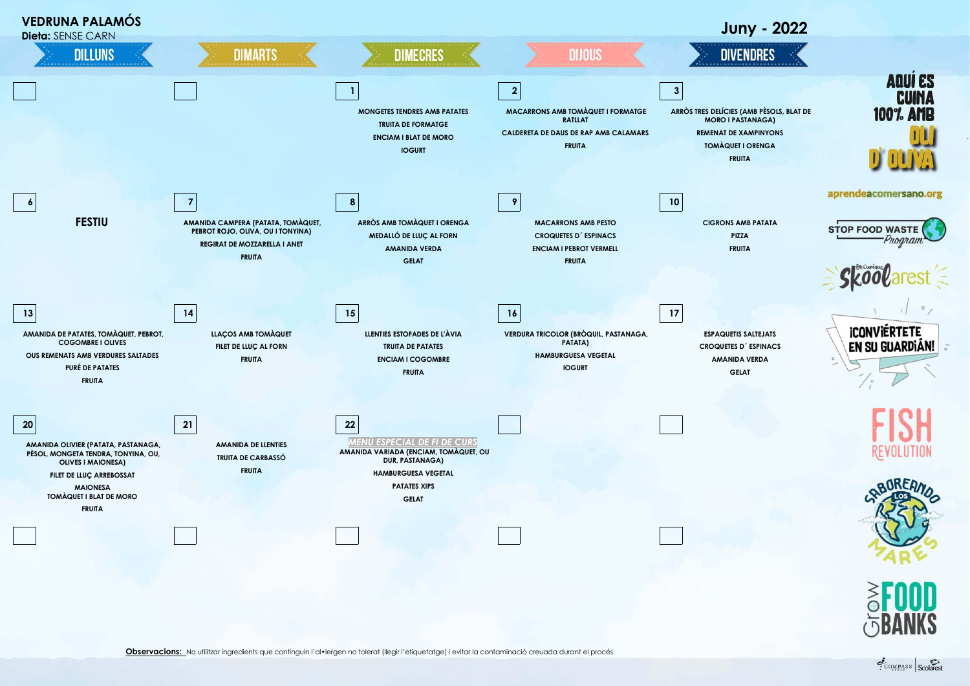



COMPASS Scolarest